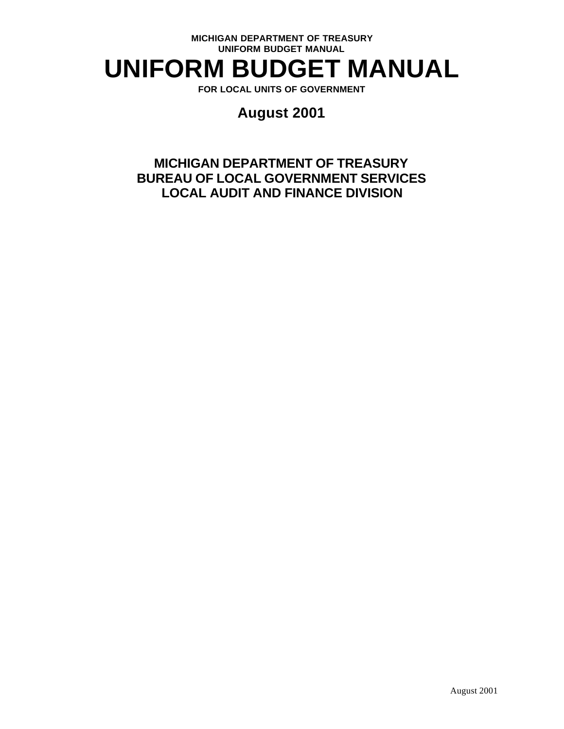# **UNIFORM BUDGET MANUAL**

**FOR LOCAL UNITS OF GOVERNMENT**

## **August 2001**

## **MICHIGAN DEPARTMENT OF TREASURY BUREAU OF LOCAL GOVERNMENT SERVICES LOCAL AUDIT AND FINANCE DIVISION**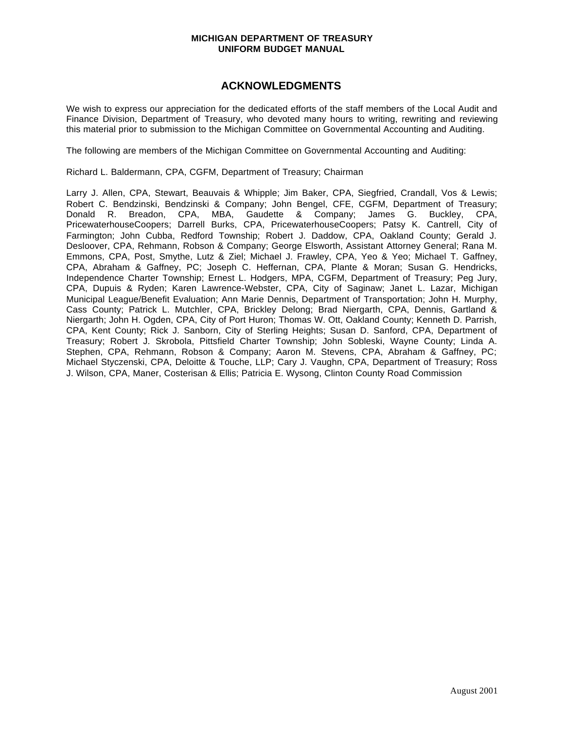## **ACKNOWLEDGMENTS**

We wish to express our appreciation for the dedicated efforts of the staff members of the Local Audit and Finance Division, Department of Treasury, who devoted many hours to writing, rewriting and reviewing this material prior to submission to the Michigan Committee on Governmental Accounting and Auditing.

The following are members of the Michigan Committee on Governmental Accounting and Auditing:

Richard L. Baldermann, CPA, CGFM, Department of Treasury; Chairman

Larry J. Allen, CPA, Stewart, Beauvais & Whipple; Jim Baker, CPA, Siegfried, Crandall, Vos & Lewis; Robert C. Bendzinski, Bendzinski & Company; John Bengel, CFE, CGFM, Department of Treasury; Donald R. Breadon, CPA, MBA, Gaudette & Company; James G. Buckley, CPA, PricewaterhouseCoopers; Darrell Burks, CPA, PricewaterhouseCoopers; Patsy K. Cantrell, City of Farmington; John Cubba, Redford Township; Robert J. Daddow, CPA, Oakland County; Gerald J. Desloover, CPA, Rehmann, Robson & Company; George Elsworth, Assistant Attorney General; Rana M. Emmons, CPA, Post, Smythe, Lutz & Ziel; Michael J. Frawley, CPA, Yeo & Yeo; Michael T. Gaffney, CPA, Abraham & Gaffney, PC; Joseph C. Heffernan, CPA, Plante & Moran; Susan G. Hendricks, Independence Charter Township; Ernest L. Hodgers, MPA, CGFM, Department of Treasury; Peg Jury, CPA, Dupuis & Ryden; Karen Lawrence-Webster, CPA, City of Saginaw; Janet L. Lazar, Michigan Municipal League/Benefit Evaluation; Ann Marie Dennis, Department of Transportation; John H. Murphy, Cass County; Patrick L. Mutchler, CPA, Brickley Delong; Brad Niergarth, CPA, Dennis, Gartland & Niergarth; John H. Ogden, CPA, City of Port Huron; Thomas W. Ott, Oakland County; Kenneth D. Parrish, CPA, Kent County; Rick J. Sanborn, City of Sterling Heights; Susan D. Sanford, CPA, Department of Treasury; Robert J. Skrobola, Pittsfield Charter Township; John Sobleski, Wayne County; Linda A. Stephen, CPA, Rehmann, Robson & Company; Aaron M. Stevens, CPA, Abraham & Gaffney, PC; Michael Styczenski, CPA, Deloitte & Touche, LLP; Cary J. Vaughn, CPA, Department of Treasury; Ross J. Wilson, CPA, Maner, Costerisan & Ellis; Patricia E. Wysong, Clinton County Road Commission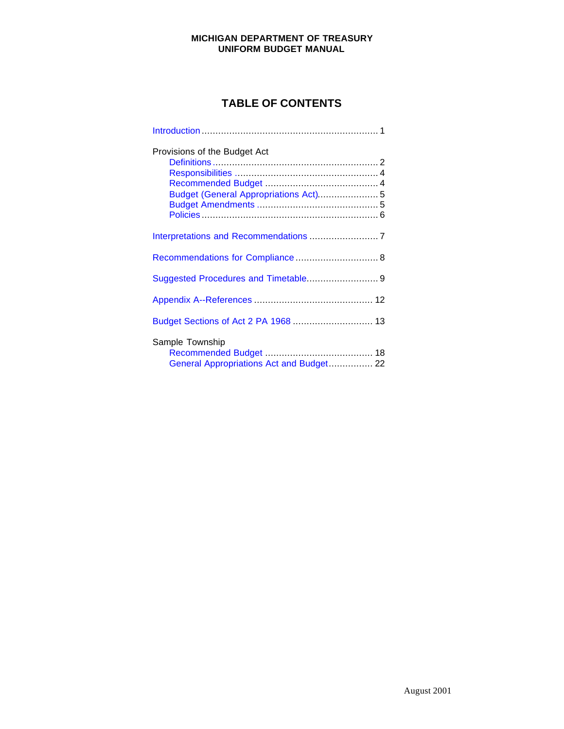## **TABLE OF CONTENTS**

| Provisions of the Budget Act<br>Budget (General Appropriations Act) 5 |  |
|-----------------------------------------------------------------------|--|
|                                                                       |  |
| Recommendations for Compliance 8                                      |  |
| Suggested Procedures and Timetable 9                                  |  |
|                                                                       |  |
| Budget Sections of Act 2 PA 1968  13                                  |  |
| Sample Township<br>General Appropriations Act and Budget 22           |  |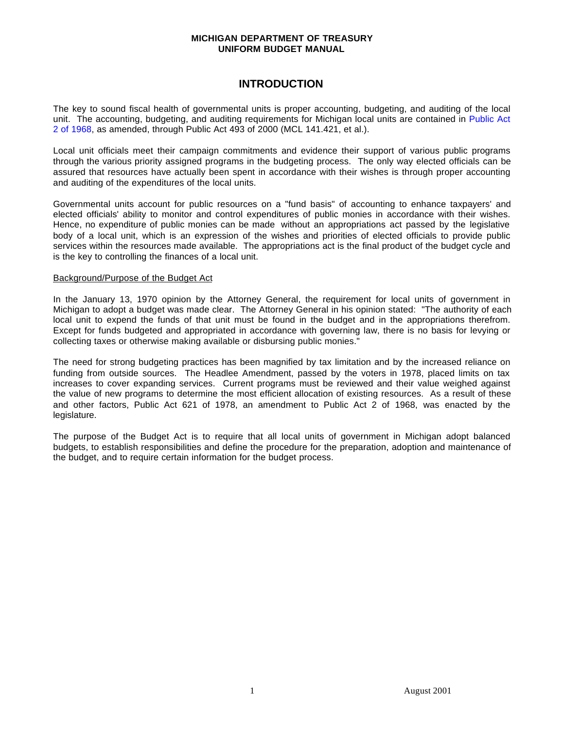## **INTRODUCTION**

The key to sound fiscal health of governmental units is proper accounting, budgeting, and auditing of the local unit. The accounting, budgeting, and auditing requirements for Michigan local units are contained in [Public Act](http://www.michiganlegislature.org/mileg.asp?page=getObject&objName=mcl-Act-2-of-1968&queryid=724889&highlight=) [2 of 1968,](http://www.michiganlegislature.org/mileg.asp?page=getObject&objName=mcl-Act-2-of-1968&queryid=724889&highlight=) as amended, through Public Act 493 of 2000 (MCL 141.421, et al.).

Local unit officials meet their campaign commitments and evidence their support of various public programs through the various priority assigned programs in the budgeting process. The only way elected officials can be assured that resources have actually been spent in accordance with their wishes is through proper accounting and auditing of the expenditures of the local units.

Governmental units account for public resources on a "fund basis" of accounting to enhance taxpayers' and elected officials' ability to monitor and control expenditures of public monies in accordance with their wishes. Hence, no expenditure of public monies can be made without an appropriations act passed by the legislative body of a local unit, which is an expression of the wishes and priorities of elected officials to provide public services within the resources made available. The appropriations act is the final product of the budget cycle and is the key to controlling the finances of a local unit.

#### Background/Purpose of the Budget Act

In the January 13, 1970 opinion by the Attorney General, the requirement for local units of government in Michigan to adopt a budget was made clear. The Attorney General in his opinion stated: "The authority of each local unit to expend the funds of that unit must be found in the budget and in the appropriations therefrom. Except for funds budgeted and appropriated in accordance with governing law, there is no basis for levying or collecting taxes or otherwise making available or disbursing public monies."

The need for strong budgeting practices has been magnified by tax limitation and by the increased reliance on funding from outside sources. The Headlee Amendment, passed by the voters in 1978, placed limits on tax increases to cover expanding services. Current programs must be reviewed and their value weighed against the value of new programs to determine the most efficient allocation of existing resources. As a result of these and other factors, Public Act 621 of 1978, an amendment to Public Act 2 of 1968, was enacted by the legislature.

The purpose of the Budget Act is to require that all local units of government in Michigan adopt balanced budgets, to establish responsibilities and define the procedure for the preparation, adoption and maintenance of the budget, and to require certain information for the budget process.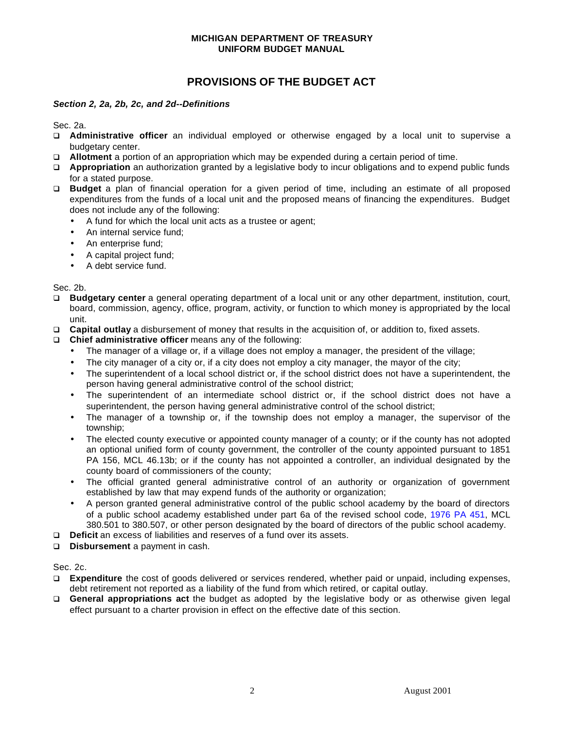## **PROVISIONS OF THE BUDGET ACT**

#### *Section 2, 2a, 2b, 2c, and 2d--Definitions*

Sec. 2a.

- q **Administrative officer** an individual employed or otherwise engaged by a local unit to supervise a budgetary center.
- q **Allotment** a portion of an appropriation which may be expended during a certain period of time.
- q **Appropriation** an authorization granted by a legislative body to incur obligations and to expend public funds for a stated purpose.
- q **Budget** a plan of financial operation for a given period of time, including an estimate of all proposed expenditures from the funds of a local unit and the proposed means of financing the expenditures. Budget does not include any of the following:
	- A fund for which the local unit acts as a trustee or agent;
	- An internal service fund;
	- An enterprise fund;
	- A capital project fund;
	- A debt service fund.

Sec. 2b.

- q **Budgetary center** a general operating department of a local unit or any other department, institution, court, board, commission, agency, office, program, activity, or function to which money is appropriated by the local unit.
- q **Capital outlay** a disbursement of money that results in the acquisition of, or addition to, fixed assets.
- q **Chief administrative officer** means any of the following:
	- The manager of a village or, if a village does not employ a manager, the president of the village;
	- The city manager of a city or, if a city does not employ a city manager, the mayor of the city;
	- The superintendent of a local school district or, if the school district does not have a superintendent, the person having general administrative control of the school district;
	- The superintendent of an intermediate school district or, if the school district does not have a superintendent, the person having general administrative control of the school district;
	- The manager of a township or, if the township does not employ a manager, the supervisor of the township;
	- The elected county executive or appointed county manager of a county; or if the county has not adopted an optional unified form of county government, the controller of the county appointed pursuant to 1851 PA 156, MCL 46.13b; or if the county has not appointed a controller, an individual designated by the county board of commissioners of the county;
	- The official granted general administrative control of an authority or organization of government established by law that may expend funds of the authority or organization;
	- A person granted general administrative control of the public school academy by the board of directors of a public school academy established under part 6a of the revised school code, [1976 PA 451,](http://www.michiganlegislature.org/mileg.asp?page=getObject&objName=mcl-Act-451-of-1976&queryid=724952&highlight=) MCL 380.501 to 380.507, or other person designated by the board of directors of the public school academy.
- q **Deficit** an excess of liabilities and reserves of a fund over its assets.
- q **Disbursement** a payment in cash.

Sec. 2c.

- q **Expenditure** the cost of goods delivered or services rendered, whether paid or unpaid, including expenses, debt retirement not reported as a liability of the fund from which retired, or capital outlay.
- q **General appropriations act** the budget as adopted by the legislative body or as otherwise given legal effect pursuant to a charter provision in effect on the effective date of this section.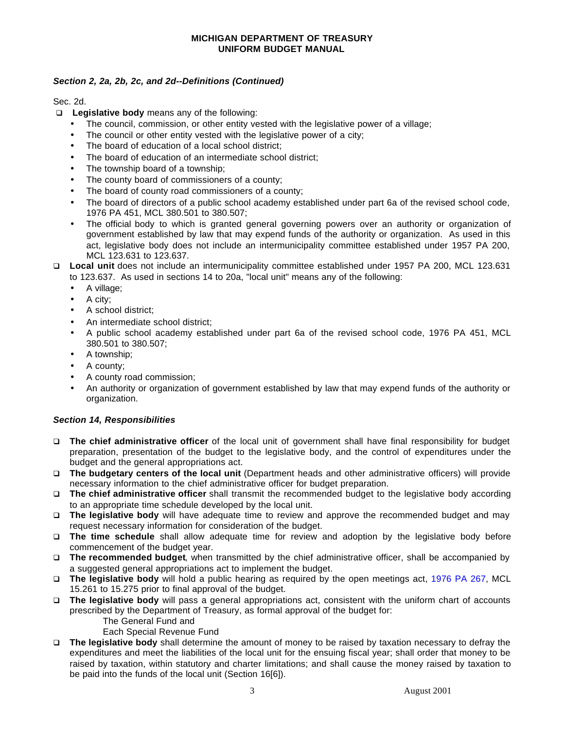#### *Section 2, 2a, 2b, 2c, and 2d--Definitions (Continued)*

Sec. 2d.

- □ Legislative body means any of the following:
	- The council, commission, or other entity vested with the legislative power of a village;
	- The council or other entity vested with the legislative power of a city;
	- The board of education of a local school district;
	- The board of education of an intermediate school district;
	- The township board of a township:
	- The county board of commissioners of a county;
	- The board of county road commissioners of a county;
	- The board of directors of a public school academy established under part 6a of the revised school code, 1976 PA 451, MCL 380.501 to 380.507;
	- The official body to which is granted general governing powers over an authority or organization of government established by law that may expend funds of the authority or organization. As used in this act, legislative body does not include an intermunicipality committee established under 1957 PA 200, MCL 123.631 to 123.637.
- q **Local unit** does not include an intermunicipality committee established under 1957 PA 200, MCL 123.631 to 123.637. As used in sections 14 to 20a, "local unit" means any of the following:
	- A village;
	- A city;
	- A school district;
	- An intermediate school district;
	- A public school academy established under part 6a of the revised school code, 1976 PA 451, MCL 380.501 to 380.507;
	- A township;
	- A county;
	- A county road commission;
	- An authority or organization of government established by law that may expend funds of the authority or organization.

#### *Section 14, Responsibilities*

- q **The chief administrative officer** of the local unit of government shall have final responsibility for budget preparation, presentation of the budget to the legislative body, and the control of expenditures under the budget and the general appropriations act.
- q **The budgetary centers of the local unit** (Department heads and other administrative officers) will provide necessary information to the chief administrative officer for budget preparation.
- q **The chief administrative officer** shall transmit the recommended budget to the legislative body according to an appropriate time schedule developed by the local unit.
- q **The legislative body** will have adequate time to review and approve the recommended budget and may request necessary information for consideration of the budget.
- q **The time schedule** shall allow adequate time for review and adoption by the legislative body before commencement of the budget year.
- q **The recommended budget**, when transmitted by the chief administrative officer, shall be accompanied by a suggested general appropriations act to implement the budget.
- q **The legislative body** will hold a public hearing as required by the open meetings act, [1976 PA 267,](http://www.michiganlegislature.org/mileg.asp?page=getObject&objName=mcl-Act-267-of-1976&queryid=724976&highlight=) MCL 15.261 to 15.275 prior to final approval of the budget.
- q **The legislative body** will pass a general appropriations act, consistent with the uniform chart of accounts prescribed by the Department of Treasury, as formal approval of the budget for:
	- The General Fund and
	- Each Special Revenue Fund
- q **The legislative body** shall determine the amount of money to be raised by taxation necessary to defray the expenditures and meet the liabilities of the local unit for the ensuing fiscal year; shall order that money to be raised by taxation, within statutory and charter limitations; and shall cause the money raised by taxation to be paid into the funds of the local unit (Section 16[6]).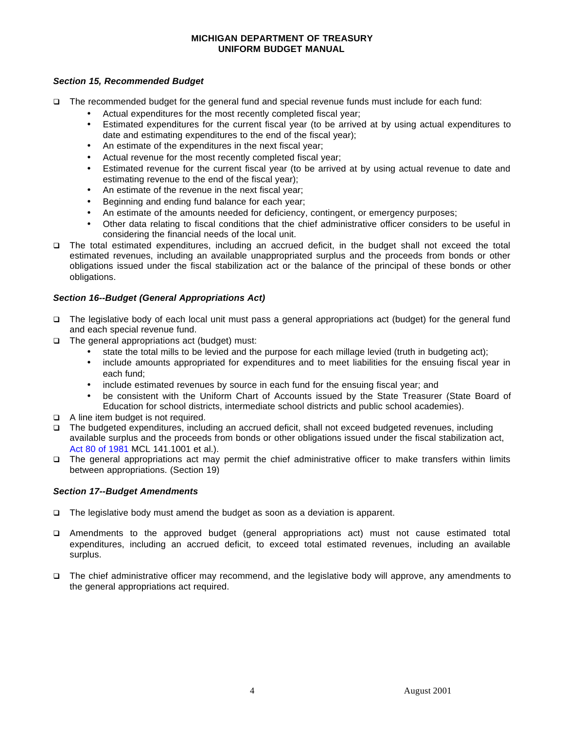#### <span id="page-6-0"></span>*Section 15, Recommended Budget*

- q The recommended budget for the general fund and special revenue funds must include for each fund:
	- Actual expenditures for the most recently completed fiscal year;
	- Estimated expenditures for the current fiscal year (to be arrived at by using actual expenditures to date and estimating expenditures to the end of the fiscal year);
	- An estimate of the expenditures in the next fiscal year;
	- Actual revenue for the most recently completed fiscal year;
	- Estimated revenue for the current fiscal year (to be arrived at by using actual revenue to date and estimating revenue to the end of the fiscal year);
	- An estimate of the revenue in the next fiscal year;
	- Beginning and ending fund balance for each year;
	- An estimate of the amounts needed for deficiency, contingent, or emergency purposes;
	- Other data relating to fiscal conditions that the chief administrative officer considers to be useful in considering the financial needs of the local unit.
- q The total estimated expenditures, including an accrued deficit, in the budget shall not exceed the total estimated revenues, including an available unappropriated surplus and the proceeds from bonds or other obligations issued under the fiscal stabilization act or the balance of the principal of these bonds or other obligations.

#### *Section 16--Budget (General Appropriations Act)*

- q The legislative body of each local unit must pass a general appropriations act (budget) for the general fund and each special revenue fund.
- $\Box$  The general appropriations act (budget) must:
	- state the total mills to be levied and the purpose for each millage levied (truth in budgeting act);
	- include amounts appropriated for expenditures and to meet liabilities for the ensuing fiscal year in each fund;
	- include estimated revenues by source in each fund for the ensuing fiscal year; and
	- be consistent with the Uniform Chart of Accounts issued by the State Treasurer (State Board of Education for school districts, intermediate school districts and public school academies).
- □ A line item budget is not required.
- q The budgeted expenditures, including an accrued deficit, shall not exceed budgeted revenues, including available surplus and the proceeds from bonds or other obligations issued under the fiscal stabilization act, [Act 80 of 1981](http://www.michiganlegislature.org/mileg.asp?page=getObject&objName=mcl-Act-80-of-1981&queryid=724994&highlight=) MCL 141.1001 et al.).
- q The general appropriations act may permit the chief administrative officer to make transfers within limits between appropriations. (Section 19)

#### *Section 17--Budget Amendments*

- $\Box$  The legislative body must amend the budget as soon as a deviation is apparent.
- q Amendments to the approved budget (general appropriations act) must not cause estimated total expenditures, including an accrued deficit, to exceed total estimated revenues, including an available surplus.
- q The chief administrative officer may recommend, and the legislative body will approve, any amendments to the general appropriations act required.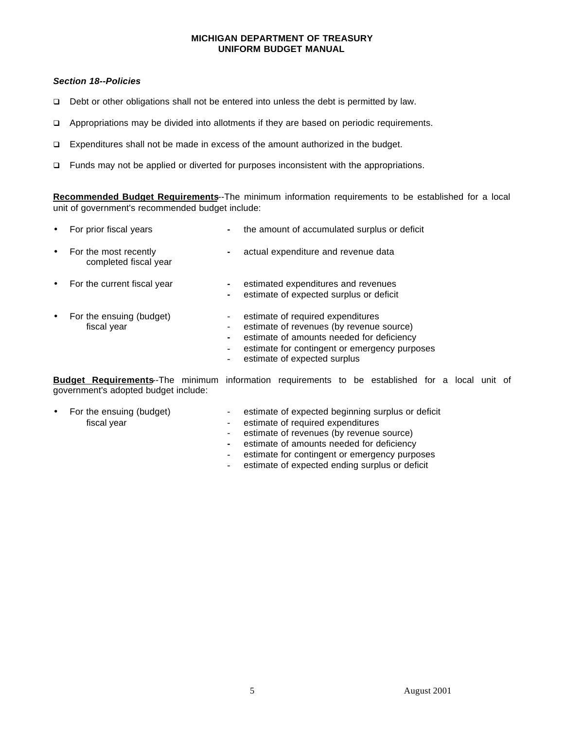#### <span id="page-7-0"></span>*Section 18--Policies*

- □ Debt or other obligations shall not be entered into unless the debt is permitted by law.
- $\Box$  Appropriations may be divided into allotments if they are based on periodic requirements.
- q Expenditures shall not be made in excess of the amount authorized in the budget.
- $\Box$  Funds may not be applied or diverted for purposes inconsistent with the appropriations.

**Recommended Budget Requirements**--The minimum information requirements to be established for a local unit of government's recommended budget include:

| $\bullet$ | For prior fiscal years                         | $\blacksquare$   | the amount of accumulated surplus or deficit                                                                                                                                                                |
|-----------|------------------------------------------------|------------------|-------------------------------------------------------------------------------------------------------------------------------------------------------------------------------------------------------------|
| $\bullet$ | For the most recently<br>completed fiscal year |                  | actual expenditure and revenue data                                                                                                                                                                         |
| $\bullet$ | For the current fiscal year                    | $\blacksquare$   | estimated expenditures and revenues<br>estimate of expected surplus or deficit                                                                                                                              |
| $\bullet$ | For the ensuing (budget)<br>fiscal year        | ٠<br>۰<br>۰<br>۰ | estimate of required expenditures<br>estimate of revenues (by revenue source)<br>estimate of amounts needed for deficiency<br>estimate for contingent or emergency purposes<br>estimate of expected surplus |

**Budget Requirements**--The minimum information requirements to be established for a local unit of government's adopted budget include:

- For the ensuing (budget) estimate of expected beginning surplus or deficit fiscal year estimate of required expenditures<br>
For the ensuing (budget) estimate of required expenditures<br>
estimate of revenues (by revenue
- - fiscal year **Fiscal year** estimate of required expenditures
		- estimate of revenues (by revenue source)
		- **-** estimate of amounts needed for deficiency
		- **-** estimate for contingent or emergency purposes
		- **-** estimate of expected ending surplus or deficit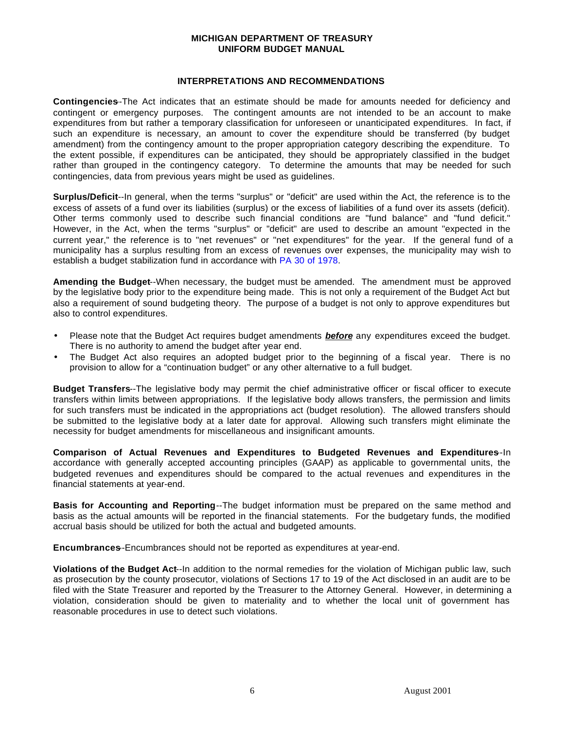#### **INTERPRETATIONS AND RECOMMENDATIONS**

<span id="page-8-0"></span>**Contingencies-**The Act indicates that an estimate should be made for amounts needed for deficiency and contingent or emergency purposes. The contingent amounts are not intended to be an account to make expenditures from but rather a temporary classification for unforeseen or unanticipated expenditures. In fact, if such an expenditure is necessary, an amount to cover the expenditure should be transferred (by budget amendment) from the contingency amount to the proper appropriation category describing the expenditure. To the extent possible, if expenditures can be anticipated, they should be appropriately classified in the budget rather than grouped in the contingency category. To determine the amounts that may be needed for such contingencies, data from previous years might be used as guidelines.

**Surplus/Deficit**--In general, when the terms "surplus" or "deficit" are used within the Act, the reference is to the excess of assets of a fund over its liabilities (surplus) or the excess of liabilities of a fund over its assets (deficit). Other terms commonly used to describe such financial conditions are "fund balance" and "fund deficit." However, in the Act, when the terms "surplus" or "deficit" are used to describe an amount "expected in the current year," the reference is to "net revenues" or "net expenditures" for the year. If the general fund of a municipality has a surplus resulting from an excess of revenues over expenses, the municipality may wish to establish a budget stabilization fund in accordance with [PA 30 of 1978.](http://www.michiganlegislature.org/mileg.asp?page=getObject&objName=mcl-Act-30-of-1978&queryid=725011&highlight=)

**Amending the Budget**--When necessary, the budget must be amended. The amendment must be approved by the legislative body prior to the expenditure being made. This is not only a requirement of the Budget Act but also a requirement of sound budgeting theory. The purpose of a budget is not only to approve expenditures but also to control expenditures.

- Please note that the Budget Act requires budget amendments *before* any expenditures exceed the budget. There is no authority to amend the budget after year end.
- The Budget Act also requires an adopted budget prior to the beginning of a fiscal year. There is no provision to allow for a "continuation budget" or any other alternative to a full budget.

**Budget Transfers**--The legislative body may permit the chief administrative officer or fiscal officer to execute transfers within limits between appropriations. If the legislative body allows transfers, the permission and limits for such transfers must be indicated in the appropriations act (budget resolution). The allowed transfers should be submitted to the legislative body at a later date for approval. Allowing such transfers might eliminate the necessity for budget amendments for miscellaneous and insignificant amounts.

**Comparison of Actual Revenues and Expenditures to Budgeted Revenues and Expenditures-In** accordance with generally accepted accounting principles (GAAP) as applicable to governmental units, the budgeted revenues and expenditures should be compared to the actual revenues and expenditures in the financial statements at year-end.

**Basis for Accounting and Reporting**--The budget information must be prepared on the same method and basis as the actual amounts will be reported in the financial statements. For the budgetary funds, the modified accrual basis should be utilized for both the actual and budgeted amounts.

**Encumbrances-Encumbrances should not be reported as expenditures at year-end.** 

**Violations of the Budget Act**--In addition to the normal remedies for the violation of Michigan public law, such as prosecution by the county prosecutor, violations of Sections 17 to 19 of the Act disclosed in an audit are to be filed with the State Treasurer and reported by the Treasurer to the Attorney General. However, in determining a violation, consideration should be given to materiality and to whether the local unit of government has reasonable procedures in use to detect such violations.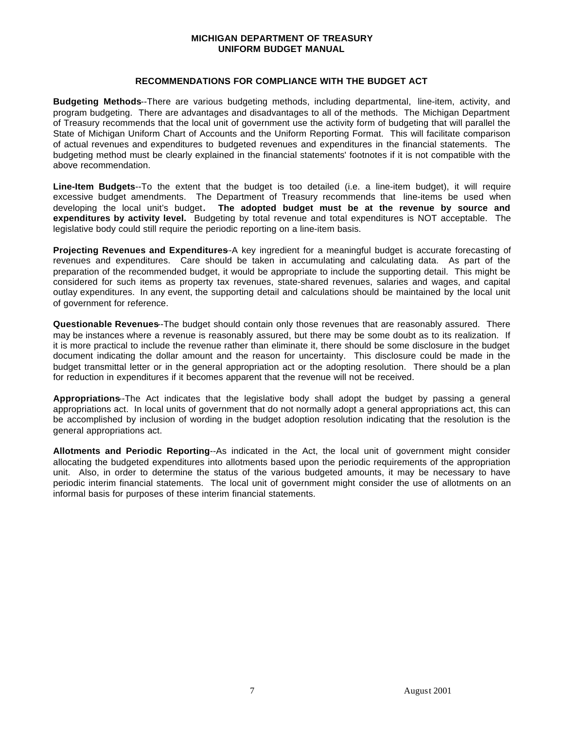#### **RECOMMENDATIONS FOR COMPLIANCE WITH THE BUDGET ACT**

<span id="page-9-0"></span>**Budgeting Methods**--There are various budgeting methods, including departmental, line-item, activity, and program budgeting. There are advantages and disadvantages to all of the methods. The Michigan Department of Treasury recommends that the local unit of government use the activity form of budgeting that will parallel the State of Michigan Uniform Chart of Accounts and the Uniform Reporting Format. This will facilitate comparison of actual revenues and expenditures to budgeted revenues and expenditures in the financial statements. The budgeting method must be clearly explained in the financial statements' footnotes if it is not compatible with the above recommendation.

**Line-Item Budgets**--To the extent that the budget is too detailed (i.e. a line-item budget), it will require excessive budget amendments. The Department of Treasury recommends that line-items be used when developing the local unit's budget**. The adopted budget must be at the revenue by source and expenditures by activity level.** Budgeting by total revenue and total expenditures is NOT acceptable. The legislative body could still require the periodic reporting on a line-item basis.

**Projecting Revenues and Expenditures-A** key ingredient for a meaningful budget is accurate forecasting of revenues and expenditures. Care should be taken in accumulating and calculating data. As part of the preparation of the recommended budget, it would be appropriate to include the supporting detail. This might be considered for such items as property tax revenues, state-shared revenues, salaries and wages, and capital outlay expenditures. In any event, the supporting detail and calculations should be maintained by the local unit of government for reference.

**Questionable Revenues**--The budget should contain only those revenues that are reasonably assured. There may be instances where a revenue is reasonably assured, but there may be some doubt as to its realization. If it is more practical to include the revenue rather than eliminate it, there should be some disclosure in the budget document indicating the dollar amount and the reason for uncertainty. This disclosure could be made in the budget transmittal letter or in the general appropriation act or the adopting resolution. There should be a plan for reduction in expenditures if it becomes apparent that the revenue will not be received.

Appropriations-The Act indicates that the legislative body shall adopt the budget by passing a general appropriations act. In local units of government that do not normally adopt a general appropriations act, this can be accomplished by inclusion of wording in the budget adoption resolution indicating that the resolution is the general appropriations act.

**Allotments and Periodic Reporting**--As indicated in the Act, the local unit of government might consider allocating the budgeted expenditures into allotments based upon the periodic requirements of the appropriation unit. Also, in order to determine the status of the various budgeted amounts, it may be necessary to have periodic interim financial statements. The local unit of government might consider the use of allotments on an informal basis for purposes of these interim financial statements.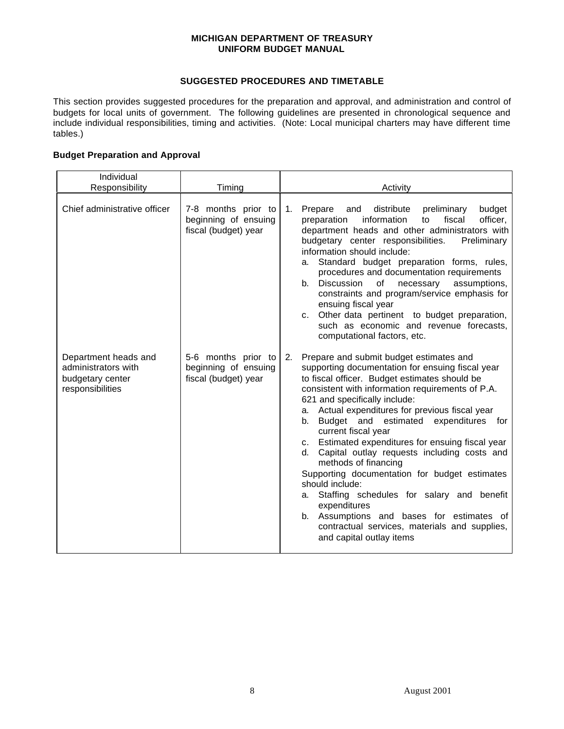#### **SUGGESTED PROCEDURES AND TIMETABLE**

<span id="page-10-0"></span>This section provides suggested procedures for the preparation and approval, and administration and control of budgets for local units of government. The following guidelines are presented in chronological sequence and include individual responsibilities, timing and activities. (Note: Local municipal charters may have different time tables.)

#### **Budget Preparation and Approval**

| Individual                                                                          |                                                                     |                                                                                                                                                                                                                                                                                                                                                                                                                                                                                                                                                                                                                                                                                                                                                                           |  |  |
|-------------------------------------------------------------------------------------|---------------------------------------------------------------------|---------------------------------------------------------------------------------------------------------------------------------------------------------------------------------------------------------------------------------------------------------------------------------------------------------------------------------------------------------------------------------------------------------------------------------------------------------------------------------------------------------------------------------------------------------------------------------------------------------------------------------------------------------------------------------------------------------------------------------------------------------------------------|--|--|
| Responsibility                                                                      | Timing                                                              | Activity                                                                                                                                                                                                                                                                                                                                                                                                                                                                                                                                                                                                                                                                                                                                                                  |  |  |
| Chief administrative officer                                                        | 7-8 months prior to<br>beginning of ensuing<br>fiscal (budget) year | distribute<br>preliminary<br>Prepare<br>and<br>budget<br>1.<br>fiscal<br>information<br>officer,<br>preparation<br>to<br>department heads and other administrators with<br>budgetary center responsibilities.<br>Preliminary<br>information should include:<br>Standard budget preparation forms, rules,<br>а.<br>procedures and documentation requirements<br>Discussion<br>of<br>b.<br>necessary<br>assumptions,<br>constraints and program/service emphasis for<br>ensuing fiscal year<br>c. Other data pertinent to budget preparation,<br>such as economic and revenue forecasts,<br>computational factors, etc.                                                                                                                                                     |  |  |
| Department heads and<br>administrators with<br>budgetary center<br>responsibilities | 5-6 months prior to<br>beginning of ensuing<br>fiscal (budget) year | 2.<br>Prepare and submit budget estimates and<br>supporting documentation for ensuing fiscal year<br>to fiscal officer. Budget estimates should be<br>consistent with information requirements of P.A.<br>621 and specifically include:<br>a. Actual expenditures for previous fiscal year<br>Budget and estimated<br>expenditures<br>b.<br>for<br>current fiscal year<br>c. Estimated expenditures for ensuing fiscal year<br>Capital outlay requests including costs and<br>d.<br>methods of financing<br>Supporting documentation for budget estimates<br>should include:<br>Staffing schedules for salary and benefit<br>а.<br>expenditures<br>b. Assumptions and bases for estimates of<br>contractual services, materials and supplies,<br>and capital outlay items |  |  |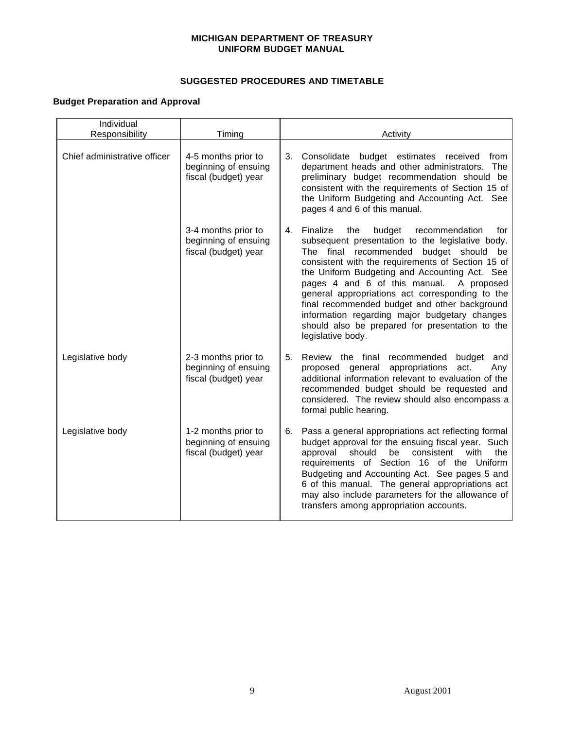#### **SUGGESTED PROCEDURES AND TIMETABLE**

## **Budget Preparation and Approval**

| Individual<br>Responsibility | Timing                                                              | Activity                                                                                                                                                                                                                                                                                                                                                                                                                                                                                                                                       |  |  |
|------------------------------|---------------------------------------------------------------------|------------------------------------------------------------------------------------------------------------------------------------------------------------------------------------------------------------------------------------------------------------------------------------------------------------------------------------------------------------------------------------------------------------------------------------------------------------------------------------------------------------------------------------------------|--|--|
| Chief administrative officer | 4-5 months prior to<br>beginning of ensuing<br>fiscal (budget) year | 3.<br>Consolidate<br>budget estimates received from<br>department heads and other administrators. The<br>preliminary budget recommendation should be<br>consistent with the requirements of Section 15 of<br>the Uniform Budgeting and Accounting Act. See<br>pages 4 and 6 of this manual.                                                                                                                                                                                                                                                    |  |  |
|                              | 3-4 months prior to<br>beginning of ensuing<br>fiscal (budget) year | Finalize<br>4.<br>the<br>budget<br>recommendation<br>for<br>subsequent presentation to the legislative body.<br>The final recommended<br>budget should<br>be<br>consistent with the requirements of Section 15 of<br>the Uniform Budgeting and Accounting Act. See<br>pages 4 and 6 of this manual.<br>A proposed<br>general appropriations act corresponding to the<br>final recommended budget and other background<br>information regarding major budgetary changes<br>should also be prepared for presentation to the<br>legislative body. |  |  |
| Legislative body             | 2-3 months prior to<br>beginning of ensuing<br>fiscal (budget) year | Review the final recommended<br>5.<br>budget<br>and<br>general<br>appropriations<br>act.<br>proposed<br>Any<br>additional information relevant to evaluation of the<br>recommended budget should be requested and<br>considered. The review should also encompass a<br>formal public hearing.                                                                                                                                                                                                                                                  |  |  |
| Legislative body             | 1-2 months prior to<br>beginning of ensuing<br>fiscal (budget) year | Pass a general appropriations act reflecting formal<br>6.<br>budget approval for the ensuing fiscal year. Such<br>approval<br>should<br>be<br>consistent<br>with<br>the<br>requirements of Section 16 of the Uniform<br>Budgeting and Accounting Act. See pages 5 and<br>6 of this manual. The general appropriations act<br>may also include parameters for the allowance of<br>transfers among appropriation accounts.                                                                                                                       |  |  |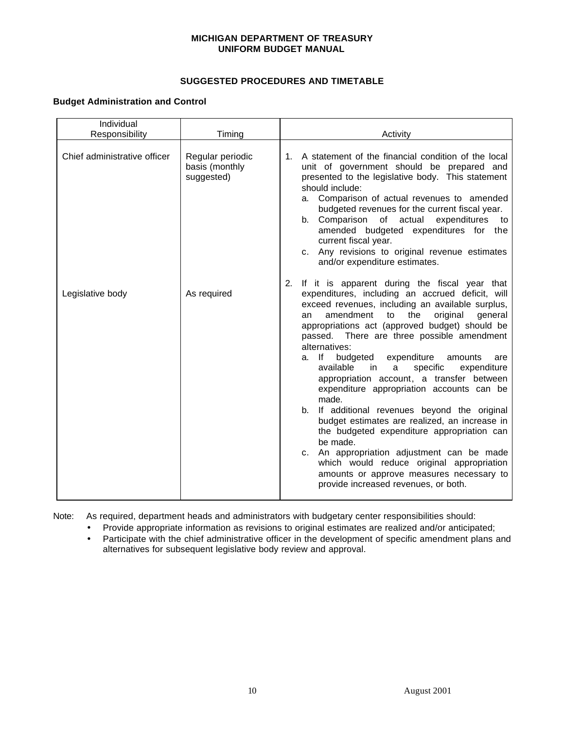#### **SUGGESTED PROCEDURES AND TIMETABLE**

#### **Budget Administration and Control**

| Individual<br>Responsibility | Timing                                           |                                                                                                                                                                                                                                                                                                                                                                                                                                                                                                                                                                                                                                                                                                                                                                                                                                                                                                     |  |
|------------------------------|--------------------------------------------------|-----------------------------------------------------------------------------------------------------------------------------------------------------------------------------------------------------------------------------------------------------------------------------------------------------------------------------------------------------------------------------------------------------------------------------------------------------------------------------------------------------------------------------------------------------------------------------------------------------------------------------------------------------------------------------------------------------------------------------------------------------------------------------------------------------------------------------------------------------------------------------------------------------|--|
|                              |                                                  | Activity                                                                                                                                                                                                                                                                                                                                                                                                                                                                                                                                                                                                                                                                                                                                                                                                                                                                                            |  |
| Chief administrative officer | Regular periodic<br>basis (monthly<br>suggested) | A statement of the financial condition of the local<br>1.<br>unit of government should be prepared and<br>presented to the legislative body. This statement<br>should include:<br>a. Comparison of actual revenues to amended<br>budgeted revenues for the current fiscal year.<br>of actual expenditures<br>Comparison<br>b.<br>to<br>amended budgeted expenditures for the<br>current fiscal year.<br>c. Any revisions to original revenue estimates<br>and/or expenditure estimates.                                                                                                                                                                                                                                                                                                                                                                                                             |  |
| Legislative body             | As required                                      | If it is apparent during the fiscal year that<br>2.<br>expenditures, including an accrued deficit, will<br>exceed revenues, including an available surplus,<br>amendment<br>the<br>original<br>general<br>to<br>an<br>appropriations act (approved budget) should be<br>passed. There are three possible amendment<br>alternatives:<br>expenditure<br>a. If<br>budgeted<br>amounts<br>are<br>available<br>in in<br>a<br>specific<br>expenditure<br>appropriation account, a transfer between<br>expenditure appropriation accounts can be<br>made.<br>If additional revenues beyond the original<br>b.<br>budget estimates are realized, an increase in<br>the budgeted expenditure appropriation can<br>be made.<br>An appropriation adjustment can be made<br>C.<br>which would reduce original appropriation<br>amounts or approve measures necessary to<br>provide increased revenues, or both. |  |

Note: As required, department heads and administrators with budgetary center responsibilities should:

• Provide appropriate information as revisions to original estimates are realized and/or anticipated;

• Participate with the chief administrative officer in the development of specific amendment plans and alternatives for subsequent legislative body review and approval.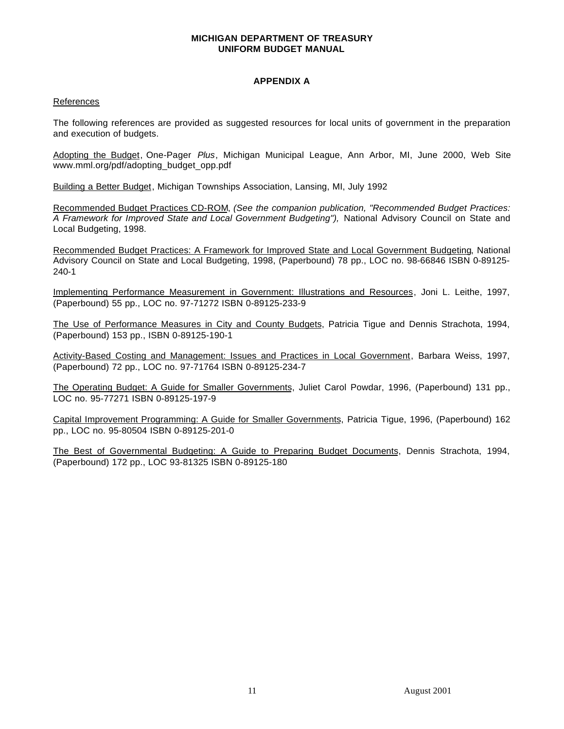#### **APPENDIX A**

#### <span id="page-13-0"></span>References

The following references are provided as suggested resources for local units of government in the preparation and execution of budgets.

Adopting the Budget, One-Pager *Plus*, Michigan Municipal League, Ann Arbor, MI, June 2000, Web Site www.mml.org/pdf/adopting\_budget\_opp.pdf

Building a Better Budget, Michigan Townships Association, Lansing, MI, July 1992

Recommended Budget Practices CD-ROM, *(See the companion publication, "Recommended Budget Practices:* A Framework for Improved State and Local Government Budgeting"), National Advisory Council on State and Local Budgeting, 1998.

Recommended Budget Practices: A Framework for Improved State and Local Government Budgeting, National Advisory Council on State and Local Budgeting, 1998, (Paperbound) 78 pp., LOC no. 98-66846 ISBN 0-89125- 240-1

Implementing Performance Measurement in Government: Illustrations and Resources, Joni L. Leithe, 1997, (Paperbound) 55 pp., LOC no. 97-71272 ISBN 0-89125-233-9

The Use of Performance Measures in City and County Budgets, Patricia Tigue and Dennis Strachota, 1994, (Paperbound) 153 pp., ISBN 0-89125-190-1

Activity-Based Costing and Management: Issues and Practices in Local Government, Barbara Weiss, 1997, (Paperbound) 72 pp., LOC no. 97-71764 ISBN 0-89125-234-7

The Operating Budget: A Guide for Smaller Governments, Juliet Carol Powdar, 1996, (Paperbound) 131 pp., LOC no. 95-77271 ISBN 0-89125-197-9

Capital Improvement Programming: A Guide for Smaller Governments, Patricia Tigue, 1996, (Paperbound) 162 pp., LOC no. 95-80504 ISBN 0-89125-201-0

The Best of Governmental Budgeting: A Guide to Preparing Budget Documents, Dennis Strachota, 1994, (Paperbound) 172 pp., LOC 93-81325 ISBN 0-89125-180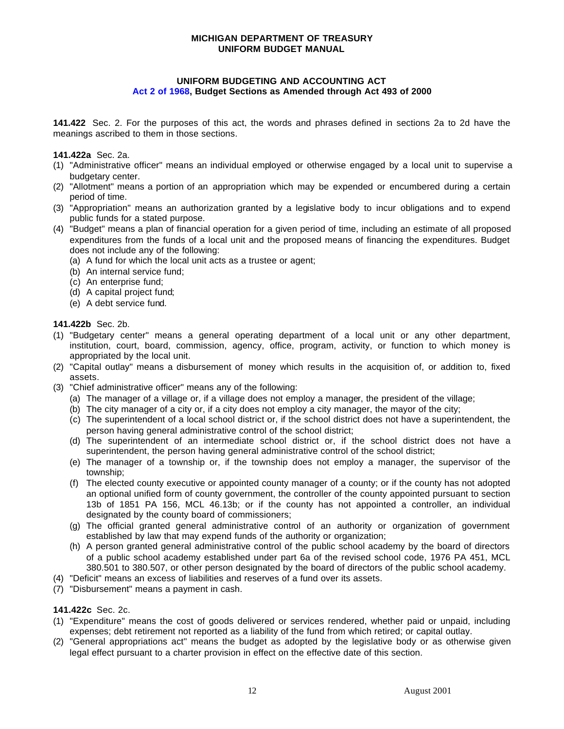#### **UNIFORM BUDGETING AND ACCOUNTING ACT [Act 2 of 1968,](http://www.michiganlegislature.org/mileg.asp?page=getObject&objName=mcl-Act-2-of-1968&queryid=724889&highlight=) Budget Sections as Amended through Act 493 of 2000**

<span id="page-14-0"></span>**141.422** Sec. 2. For the purposes of this act, the words and phrases defined in sections 2a to 2d have the meanings ascribed to them in those sections.

**141.422a** Sec. 2a.

- (1) "Administrative officer" means an individual employed or otherwise engaged by a local unit to supervise a budgetary center.
- (2) "Allotment" means a portion of an appropriation which may be expended or encumbered during a certain period of time.
- (3) "Appropriation" means an authorization granted by a legislative body to incur obligations and to expend public funds for a stated purpose.
- (4) "Budget" means a plan of financial operation for a given period of time, including an estimate of all proposed expenditures from the funds of a local unit and the proposed means of financing the expenditures. Budget does not include any of the following:
	- (a) A fund for which the local unit acts as a trustee or agent;
	- (b) An internal service fund;
	- (c) An enterprise fund;
	- (d) A capital project fund;
	- (e) A debt service fund.

**141.422b** Sec. 2b.

- (1) "Budgetary center" means a general operating department of a local unit or any other department, institution, court, board, commission, agency, office, program, activity, or function to which money is appropriated by the local unit.
- (2) "Capital outlay" means a disbursement of money which results in the acquisition of, or addition to, fixed assets.
- (3) "Chief administrative officer" means any of the following:
	- (a) The manager of a village or, if a village does not employ a manager, the president of the village;
	- (b) The city manager of a city or, if a city does not employ a city manager, the mayor of the city;
	- (c) The superintendent of a local school district or, if the school district does not have a superintendent, the person having general administrative control of the school district;
	- (d) The superintendent of an intermediate school district or, if the school district does not have a superintendent, the person having general administrative control of the school district;
	- (e) The manager of a township or, if the township does not employ a manager, the supervisor of the township;
	- (f) The elected county executive or appointed county manager of a county; or if the county has not adopted an optional unified form of county government, the controller of the county appointed pursuant to section 13b of 1851 PA 156, MCL 46.13b; or if the county has not appointed a controller, an individual designated by the county board of commissioners;
	- (g) The official granted general administrative control of an authority or organization of government established by law that may expend funds of the authority or organization;
	- (h) A person granted general administrative control of the public school academy by the board of directors of a public school academy established under part 6a of the revised school code, 1976 PA 451, MCL 380.501 to 380.507, or other person designated by the board of directors of the public school academy.
- (4) "Deficit" means an excess of liabilities and reserves of a fund over its assets.
- (7) "Disbursement" means a payment in cash.
- **141.422c** Sec. 2c.
- (1) "Expenditure" means the cost of goods delivered or services rendered, whether paid or unpaid, including expenses; debt retirement not reported as a liability of the fund from which retired; or capital outlay.
- (2) "General appropriations act" means the budget as adopted by the legislative body or as otherwise given legal effect pursuant to a charter provision in effect on the effective date of this section.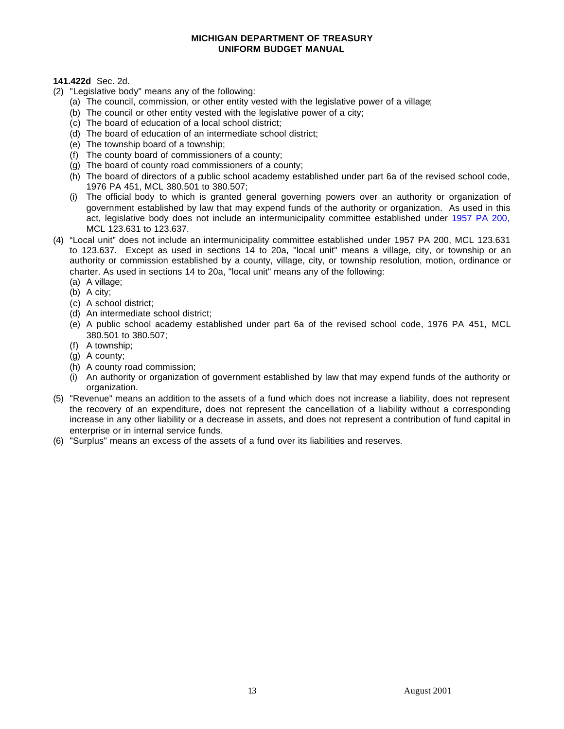#### **141.422d** Sec. 2d.

- (2) "Legislative body" means any of the following:
	- (a) The council, commission, or other entity vested with the legislative power of a village;
	- (b) The council or other entity vested with the legislative power of a city;
	- (c) The board of education of a local school district;
	- (d) The board of education of an intermediate school district;
	- (e) The township board of a township;
	- (f) The county board of commissioners of a county;
	- (g) The board of county road commissioners of a county;
	- (h) The board of directors of a public school academy established under part 6a of the revised school code, 1976 PA 451, MCL 380.501 to 380.507;
	- (i) The official body to which is granted general governing powers over an authority or organization of government established by law that may expend funds of the authority or organization. As used in this act, legislative body does not include an intermunicipality committee established under [1957 PA 200,](http://www.michiganlegislature.org/mileg.asp?page=getObject&objName=mcl-Act-200-of-1957&queryid=725107&highlight=) MCL 123.631 to 123.637.
- (4) "Local unit" does not include an intermunicipality committee established under 1957 PA 200, MCL 123.631 to 123.637. Except as used in sections 14 to 20a, "local unit" means a village, city, or township or an authority or commission established by a county, village, city, or township resolution, motion, ordinance or charter. As used in sections 14 to 20a, "local unit" means any of the following:
	- (a) A village;
	- (b) A city;
	- (c) A school district;
	- (d) An intermediate school district;
	- (e) A public school academy established under part 6a of the revised school code, 1976 PA 451, MCL 380.501 to 380.507;
	- (f) A township;
	- (g) A county;
	- (h) A county road commission;
	- (i) An authority or organization of government established by law that may expend funds of the authority or organization.
- (5) "Revenue" means an addition to the assets of a fund which does not increase a liability, does not represent the recovery of an expenditure, does not represent the cancellation of a liability without a corresponding increase in any other liability or a decrease in assets, and does not represent a contribution of fund capital in enterprise or in internal service funds.
- (6) "Surplus" means an excess of the assets of a fund over its liabilities and reserves.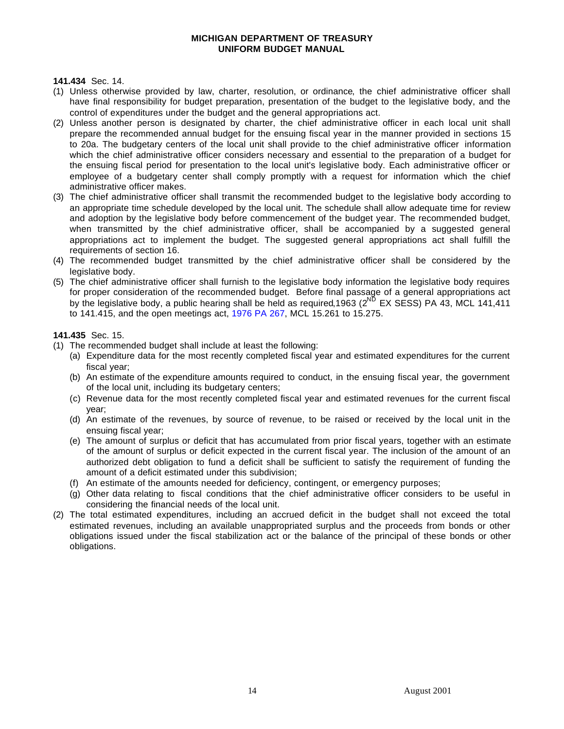**141.434** Sec. 14.

- (1) Unless otherwise provided by law, charter, resolution, or ordinance, the chief administrative officer shall have final responsibility for budget preparation, presentation of the budget to the legislative body, and the control of expenditures under the budget and the general appropriations act.
- (2) Unless another person is designated by charter, the chief administrative officer in each local unit shall prepare the recommended annual budget for the ensuing fiscal year in the manner provided in sections 15 to 20a. The budgetary centers of the local unit shall provide to the chief administrative officer information which the chief administrative officer considers necessary and essential to the preparation of a budget for the ensuing fiscal period for presentation to the local unit's legislative body. Each administrative officer or employee of a budgetary center shall comply promptly with a request for information which the chief administrative officer makes.
- (3) The chief administrative officer shall transmit the recommended budget to the legislative body according to an appropriate time schedule developed by the local unit. The schedule shall allow adequate time for review and adoption by the legislative body before commencement of the budget year. The recommended budget, when transmitted by the chief administrative officer, shall be accompanied by a suggested general appropriations act to implement the budget. The suggested general appropriations act shall fulfill the requirements of section 16.
- (4) The recommended budget transmitted by the chief administrative officer shall be considered by the legislative body.
- (5) The chief administrative officer shall furnish to the legislative body information the legislative body requires for proper consideration of the recommended budget. Before final passage of a general appropriations act by the legislative body, a public hearing shall be held as required, 1963 (2<sup>ND</sup> EX SESS) PA 43, MCL 141, 411 to 141.415, and the open meetings act, [1976 PA 267,](http://www.michiganlegislature.org/mileg.asp?page=getObject&objName=mcl-Act-267-of-1976&queryid=724976&highlight=) MCL 15.261 to 15.275.

#### **141.435** Sec. 15.

- (1) The recommended budget shall include at least the following:
	- (a) Expenditure data for the most recently completed fiscal year and estimated expenditures for the current fiscal year;
	- (b) An estimate of the expenditure amounts required to conduct, in the ensuing fiscal year, the government of the local unit, including its budgetary centers;
	- (c) Revenue data for the most recently completed fiscal year and estimated revenues for the current fiscal year;
	- (d) An estimate of the revenues, by source of revenue, to be raised or received by the local unit in the ensuing fiscal year;
	- (e) The amount of surplus or deficit that has accumulated from prior fiscal years, together with an estimate of the amount of surplus or deficit expected in the current fiscal year. The inclusion of the amount of an authorized debt obligation to fund a deficit shall be sufficient to satisfy the requirement of funding the amount of a deficit estimated under this subdivision;
	- (f) An estimate of the amounts needed for deficiency, contingent, or emergency purposes;
	- (g) Other data relating to fiscal conditions that the chief administrative officer considers to be useful in considering the financial needs of the local unit.
- (2) The total estimated expenditures, including an accrued deficit in the budget shall not exceed the total estimated revenues, including an available unappropriated surplus and the proceeds from bonds or other obligations issued under the fiscal stabilization act or the balance of the principal of these bonds or other obligations.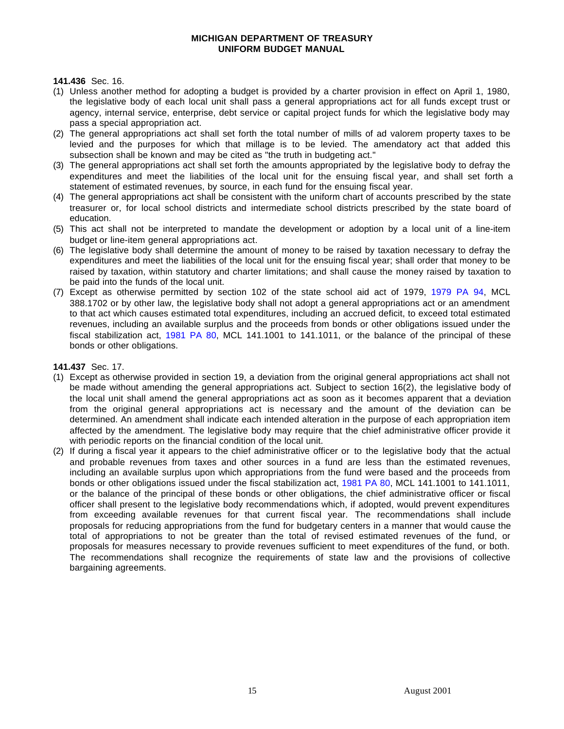**141.436** Sec. 16.

- (1) Unless another method for adopting a budget is provided by a charter provision in effect on April 1, 1980, the legislative body of each local unit shall pass a general appropriations act for all funds except trust or agency, internal service, enterprise, debt service or capital project funds for which the legislative body may pass a special appropriation act.
- (2) The general appropriations act shall set forth the total number of mills of ad valorem property taxes to be levied and the purposes for which that millage is to be levied. The amendatory act that added this subsection shall be known and may be cited as "the truth in budgeting act."
- (3) The general appropriations act shall set forth the amounts appropriated by the legislative body to defray the expenditures and meet the liabilities of the local unit for the ensuing fiscal year, and shall set forth a statement of estimated revenues, by source, in each fund for the ensuing fiscal year.
- (4) The general appropriations act shall be consistent with the uniform chart of accounts prescribed by the state treasurer or, for local school districts and intermediate school districts prescribed by the state board of education.
- (5) This act shall not be interpreted to mandate the development or adoption by a local unit of a line-item budget or line-item general appropriations act.
- (6) The legislative body shall determine the amount of money to be raised by taxation necessary to defray the expenditures and meet the liabilities of the local unit for the ensuing fiscal year; shall order that money to be raised by taxation, within statutory and charter limitations; and shall cause the money raised by taxation to be paid into the funds of the local unit.
- (7) Except as otherwise permitted by section 102 of the state school aid act of 1979, [1979 PA 94,](http://www.michiganlegislature.org/mileg.asp?page=getObject&objName=mcl-Act-94-of-1979&queryid=725143&highlight=) MCL 388.1702 or by other law, the legislative body shall not adopt a general appropriations act or an amendment to that act which causes estimated total expenditures, including an accrued deficit, to exceed total estimated revenues, including an available surplus and the proceeds from bonds or other obligations issued under the fiscal stabilization act, [1981 PA 80,](http://www.michiganlegislature.org/mileg.asp?page=getObject&objName=mcl-Act-80-of-1981&queryid=724994&highlight=) MCL 141.1001 to 141.1011, or the balance of the principal of these bonds or other obligations.

**141.437** Sec. 17.

- (1) Except as otherwise provided in section 19, a deviation from the original general appropriations act shall not be made without amending the general appropriations act. Subject to section 16(2), the legislative body of the local unit shall amend the general appropriations act as soon as it becomes apparent that a deviation from the original general appropriations act is necessary and the amount of the deviation can be determined. An amendment shall indicate each intended alteration in the purpose of each appropriation item affected by the amendment. The legislative body may require that the chief administrative officer provide it with periodic reports on the financial condition of the local unit.
- (2) If during a fiscal year it appears to the chief administrative officer or to the legislative body that the actual and probable revenues from taxes and other sources in a fund are less than the estimated revenues, including an available surplus upon which appropriations from the fund were based and the proceeds from bonds or other obligations issued under the fiscal stabilization act, [1981 PA 80,](http://www.michiganlegislature.org/mileg.asp?page=getObject&objName=mcl-Act-80-of-1981&queryid=724994&highlight=) MCL 141.1001 to 141.1011, or the balance of the principal of these bonds or other obligations, the chief administrative officer or fiscal officer shall present to the legislative body recommendations which, if adopted, would prevent expenditures from exceeding available revenues for that current fiscal year. The recommendations shall include proposals for reducing appropriations from the fund for budgetary centers in a manner that would cause the total of appropriations to not be greater than the total of revised estimated revenues of the fund, or proposals for measures necessary to provide revenues sufficient to meet expenditures of the fund, or both. The recommendations shall recognize the requirements of state law and the provisions of collective bargaining agreements.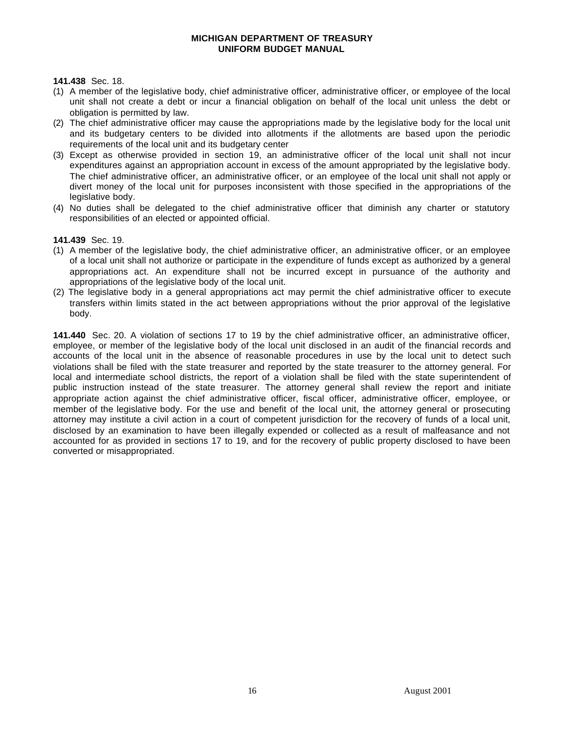**141.438** Sec. 18.

- (1) A member of the legislative body, chief administrative officer, administrative officer, or employee of the local unit shall not create a debt or incur a financial obligation on behalf of the local unit unless the debt or obligation is permitted by law.
- (2) The chief administrative officer may cause the appropriations made by the legislative body for the local unit and its budgetary centers to be divided into allotments if the allotments are based upon the periodic requirements of the local unit and its budgetary center
- (3) Except as otherwise provided in section 19, an administrative officer of the local unit shall not incur expenditures against an appropriation account in excess of the amount appropriated by the legislative body. The chief administrative officer, an administrative officer, or an employee of the local unit shall not apply or divert money of the local unit for purposes inconsistent with those specified in the appropriations of the legislative body.
- (4) No duties shall be delegated to the chief administrative officer that diminish any charter or statutory responsibilities of an elected or appointed official.

**141.439** Sec. 19.

- (1) A member of the legislative body, the chief administrative officer, an administrative officer, or an employee of a local unit shall not authorize or participate in the expenditure of funds except as authorized by a general appropriations act. An expenditure shall not be incurred except in pursuance of the authority and appropriations of the legislative body of the local unit.
- (2) The legislative body in a general appropriations act may permit the chief administrative officer to execute transfers within limits stated in the act between appropriations without the prior approval of the legislative body.

**141.440** Sec. 20. A violation of sections 17 to 19 by the chief administrative officer, an administrative officer, employee, or member of the legislative body of the local unit disclosed in an audit of the financial records and accounts of the local unit in the absence of reasonable procedures in use by the local unit to detect such violations shall be filed with the state treasurer and reported by the state treasurer to the attorney general. For local and intermediate school districts, the report of a violation shall be filed with the state superintendent of public instruction instead of the state treasurer. The attorney general shall review the report and initiate appropriate action against the chief administrative officer, fiscal officer, administrative officer, employee, or member of the legislative body. For the use and benefit of the local unit, the attorney general or prosecuting attorney may institute a civil action in a court of competent jurisdiction for the recovery of funds of a local unit, disclosed by an examination to have been illegally expended or collected as a result of malfeasance and not accounted for as provided in sections 17 to 19, and for the recovery of public property disclosed to have been converted or misappropriated.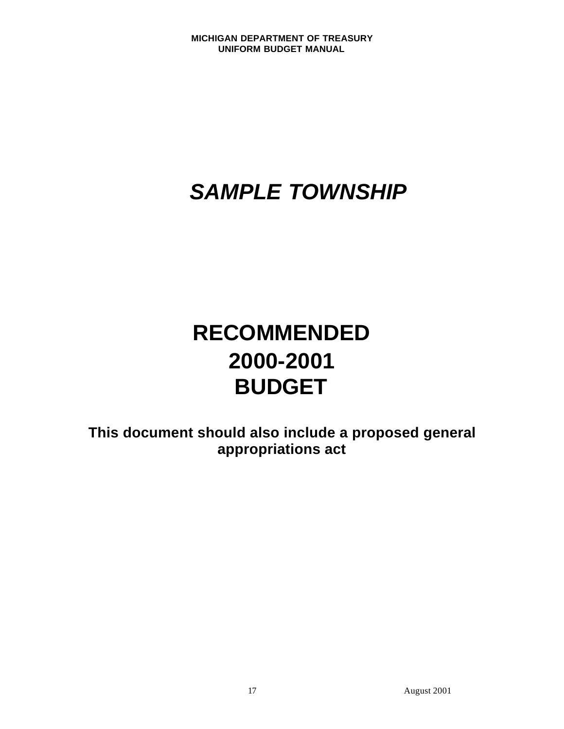# *SAMPLE TOWNSHIP*

# **RECOMMENDED 2000-2001 BUDGET**

**This document should also include a proposed general appropriations act**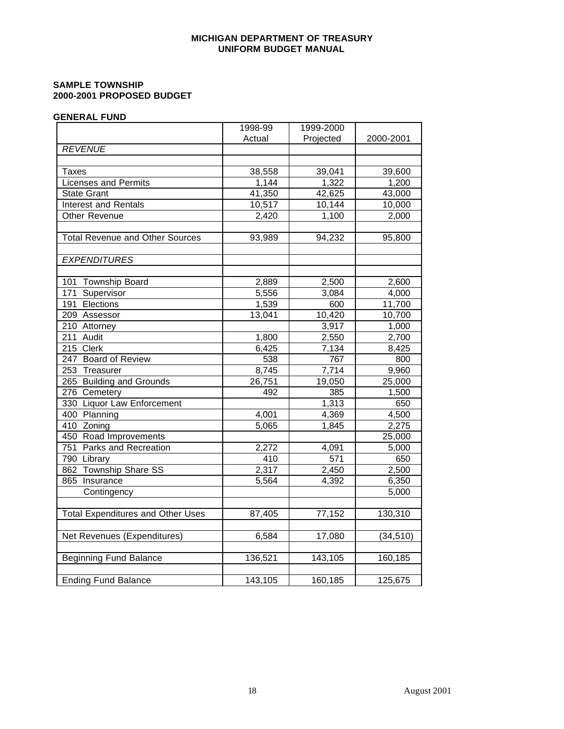#### **SAMPLE TOWNSHIP 2000-2001 PROPOSED BUDGET**

#### **GENERAL FUND**

|                                          | 1998-99 | 1999-2000 |                     |
|------------------------------------------|---------|-----------|---------------------|
|                                          | Actual  | Projected | 2000-2001           |
| <b>REVENUE</b>                           |         |           |                     |
|                                          |         |           |                     |
| Taxes                                    | 38,558  | 39,041    | 39,600              |
| <b>Licenses and Permits</b>              | 1,144   | 1,322     | 1,200               |
| <b>State Grant</b>                       | 41,350  | 42,625    | 43,000              |
| <b>Interest and Rentals</b>              | 10,517  | 10,144    | 10,000              |
| Other Revenue                            | 2,420   | 1,100     | 2,000               |
|                                          |         |           |                     |
| <b>Total Revenue and Other Sources</b>   | 93,989  | 94,232    | 95,800              |
|                                          |         |           |                     |
| <b>EXPENDITURES</b>                      |         |           |                     |
|                                          |         |           |                     |
| 101 Township Board                       | 2,889   | 2,500     | 2,600               |
| 171 Supervisor                           | 5,556   | 3,084     | 4,000               |
| 191 Elections                            | 1,539   | 600       | 11,700              |
| 209 Assessor                             | 13,041  | 10,420    | 10,700              |
| 210 Attorney                             |         | 3,917     | 1,000               |
| 211 Audit                                | 1,800   | 2,550     | 2,700               |
| 215 Clerk                                | 6,425   | 7,134     | 8,425               |
| 247 Board of Review                      | 538     | 767       | 800                 |
| 253 Treasurer                            | 8,745   | 7,714     | 9,960               |
| 265 Building and Grounds                 | 26,751  | 19,050    | 25,000              |
| 276 Cemetery                             | 492     | 385       | 1,500               |
| 330 Liquor Law Enforcement               |         | 1,313     | 650                 |
| 400 Planning                             | 4,001   | 4,369     | 4,500               |
| 410 Zoning                               | 5,065   | 1,845     | 2,275               |
| 450 Road Improvements                    |         |           | $\overline{2}5,000$ |
| 751 Parks and Recreation                 | 2,272   | 4,091     | 5,000               |
| 790 Library                              | 410     | 571       | 650                 |
| 862 Township Share SS                    | 2,317   | 2,450     | 2,500               |
| 865 Insurance                            | 5,564   | 4,392     | 6,350               |
| Contingency                              |         |           | 5,000               |
|                                          |         |           |                     |
| <b>Total Expenditures and Other Uses</b> | 87,405  | 77,152    | 130,310             |
|                                          |         |           |                     |
| Net Revenues (Expenditures)              | 6,584   | 17,080    | (34, 510)           |
|                                          |         |           |                     |
| <b>Beginning Fund Balance</b>            | 136,521 | 143,105   | 160,185             |
|                                          |         |           |                     |
| <b>Ending Fund Balance</b>               | 143,105 | 160,185   | 125,675             |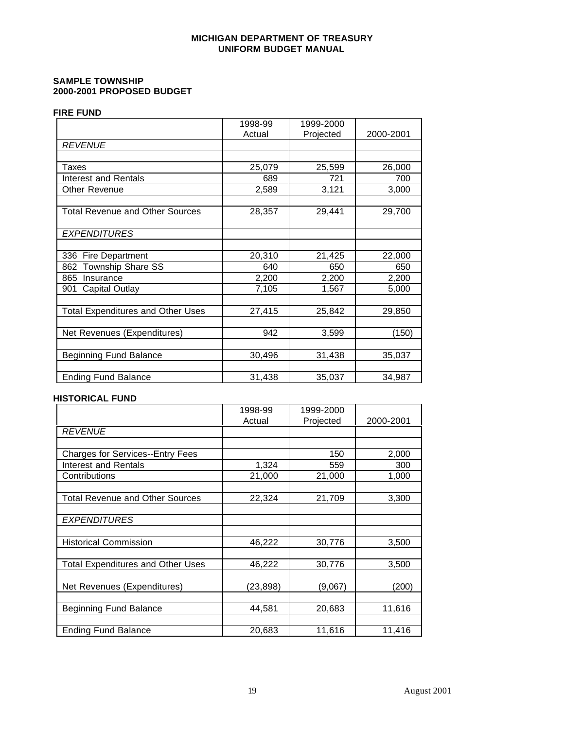#### **SAMPLE TOWNSHIP 2000-2001 PROPOSED BUDGET**

#### **FIRE FUND**

|                                          | 1998-99 | 1999-2000 |           |
|------------------------------------------|---------|-----------|-----------|
|                                          | Actual  | Projected | 2000-2001 |
| <b>REVENUE</b>                           |         |           |           |
|                                          |         |           |           |
| Taxes                                    | 25,079  | 25,599    | 26,000    |
| <b>Interest and Rentals</b>              | 689     | 721       | 700       |
| Other Revenue                            | 2,589   | 3,121     | 3,000     |
|                                          |         |           |           |
| <b>Total Revenue and Other Sources</b>   | 28,357  | 29,441    | 29,700    |
|                                          |         |           |           |
| <b>EXPENDITURES</b>                      |         |           |           |
|                                          |         |           |           |
| 336 Fire Department                      | 20,310  | 21,425    | 22,000    |
| 862 Township Share SS                    | 640     | 650       | 650       |
| 865<br>Insurance                         | 2,200   | 2,200     | 2,200     |
| <b>Capital Outlay</b><br>901             | 7,105   | 1,567     | 5,000     |
|                                          |         |           |           |
| <b>Total Expenditures and Other Uses</b> | 27,415  | 25,842    | 29,850    |
|                                          |         |           |           |
| Net Revenues (Expenditures)              | 942     | 3,599     | (150)     |
|                                          |         |           |           |
| <b>Beginning Fund Balance</b>            | 30,496  | 31,438    | 35,037    |
|                                          |         |           |           |
| <b>Ending Fund Balance</b>               | 31,438  | 35,037    | 34,987    |

#### **HISTORICAL FUND**

|                                          | 1998-99  | 1999-2000 |           |
|------------------------------------------|----------|-----------|-----------|
|                                          | Actual   | Projected | 2000-2001 |
| <b>REVENUE</b>                           |          |           |           |
|                                          |          |           |           |
| <b>Charges for Services--Entry Fees</b>  |          | 150       | 2,000     |
| <b>Interest and Rentals</b>              | 1,324    | 559       | 300       |
| Contributions                            | 21,000   | 21,000    | 1,000     |
|                                          |          |           |           |
| <b>Total Revenue and Other Sources</b>   | 22,324   | 21,709    | 3,300     |
|                                          |          |           |           |
| <b>EXPENDITURES</b>                      |          |           |           |
|                                          |          |           |           |
| <b>Historical Commission</b>             | 46,222   | 30,776    | 3,500     |
|                                          |          |           |           |
| <b>Total Expenditures and Other Uses</b> | 46,222   | 30,776    | 3,500     |
|                                          |          |           |           |
| Net Revenues (Expenditures)              | (23,898) | (9,067)   | (200)     |
|                                          |          |           |           |
| <b>Beginning Fund Balance</b>            | 44,581   | 20,683    | 11,616    |
|                                          |          |           |           |
| <b>Ending Fund Balance</b>               | 20,683   | 11,616    | 11,416    |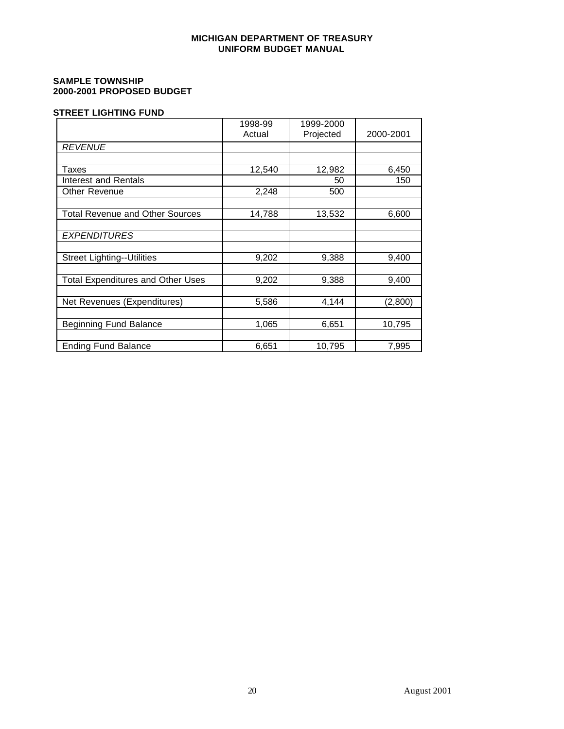#### **SAMPLE TOWNSHIP 2000-2001 PROPOSED BUDGET**

#### **STREET LIGHTING FUND**

|                                          | 1998-99 | 1999-2000 |           |
|------------------------------------------|---------|-----------|-----------|
|                                          | Actual  | Projected | 2000-2001 |
| <b>REVENUE</b>                           |         |           |           |
|                                          |         |           |           |
| Taxes                                    | 12,540  | 12,982    | 6,450     |
| Interest and Rentals                     |         | 50        | 150       |
| Other Revenue                            | 2,248   | 500       |           |
|                                          |         |           |           |
| <b>Total Revenue and Other Sources</b>   | 14,788  | 13,532    | 6,600     |
|                                          |         |           |           |
| <b>EXPENDITURES</b>                      |         |           |           |
|                                          |         |           |           |
| <b>Street Lighting--Utilities</b>        | 9,202   | 9,388     | 9,400     |
|                                          |         |           |           |
| <b>Total Expenditures and Other Uses</b> | 9,202   | 9,388     | 9,400     |
|                                          |         |           |           |
| Net Revenues (Expenditures)              | 5,586   | 4,144     | (2,800)   |
|                                          |         |           |           |
| Beginning Fund Balance                   | 1,065   | 6,651     | 10,795    |
|                                          |         |           |           |
| <b>Ending Fund Balance</b>               | 6,651   | 10,795    | 7,995     |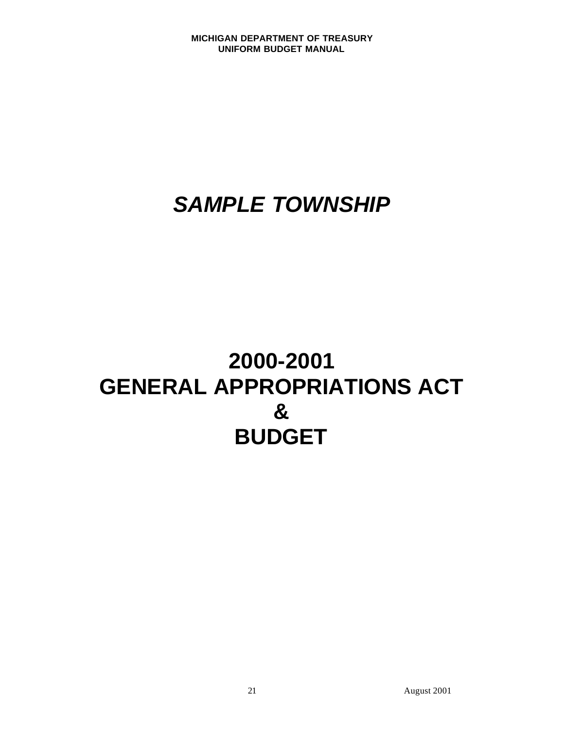## <span id="page-23-0"></span>*SAMPLE TOWNSHIP*

## **2000-2001 GENERAL APPROPRIATIONS ACT & BUDGET**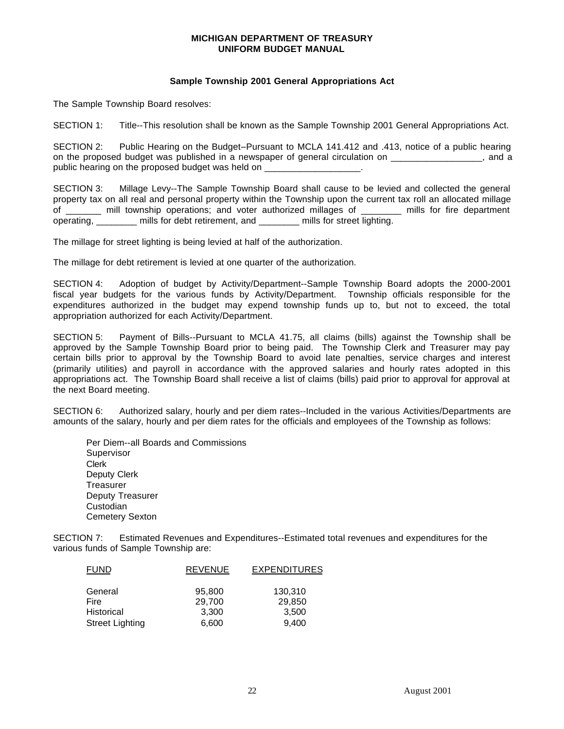### **Sample Township 2001 General Appropriations Act**

The Sample Township Board resolves:

SECTION 1: Title--This resolution shall be known as the Sample Township 2001 General Appropriations Act.

SECTION 2: Public Hearing on the Budget--Pursuant to MCLA 141.412 and .413, notice of a public hearing on the proposed budget was published in a newspaper of general circulation on \_\_\_\_\_\_\_\_\_\_\_\_\_\_\_\_\_, and a public hearing on the proposed budget was held on

SECTION 3: Millage Levy--The Sample Township Board shall cause to be levied and collected the general property tax on all real and personal property within the Township upon the current tax roll an allocated millage of all township operations; and voter authorized millages of a mills for fire department operating, mills for debt retirement, and mills for street lighting.

The millage for street lighting is being levied at half of the authorization.

The millage for debt retirement is levied at one quarter of the authorization.

SECTION 4: Adoption of budget by Activity/Department--Sample Township Board adopts the 2000-2001 fiscal year budgets for the various funds by Activity/Department. Township officials responsible for the expenditures authorized in the budget may expend township funds up to, but not to exceed, the total appropriation authorized for each Activity/Department.

SECTION 5: Payment of Bills--Pursuant to MCLA 41.75, all claims (bills) against the Township shall be approved by the Sample Township Board prior to being paid. The Township Clerk and Treasurer may pay certain bills prior to approval by the Township Board to avoid late penalties, service charges and interest (primarily utilities) and payroll in accordance with the approved salaries and hourly rates adopted in this appropriations act. The Township Board shall receive a list of claims (bills) paid prior to approval for approval at the next Board meeting.

SECTION 6: Authorized salary, hourly and per diem rates--Included in the various Activities/Departments are amounts of the salary, hourly and per diem rates for the officials and employees of the Township as follows:

Per Diem--all Boards and Commissions **Supervisor** Clerk Deputy Clerk **Treasurer** Deputy Treasurer **Custodian** Cemetery Sexton

SECTION 7: Estimated Revenues and Expenditures--Estimated total revenues and expenditures for the various funds of Sample Township are:

| <b>FUND</b>            | <b>REVENUE</b> | <b>EXPENDITURES</b> |
|------------------------|----------------|---------------------|
| General                | 95,800         | 130,310             |
| Fire                   | 29.700         | 29,850              |
| Historical             | 3,300          | 3,500               |
| <b>Street Lighting</b> | 6,600          | 9,400               |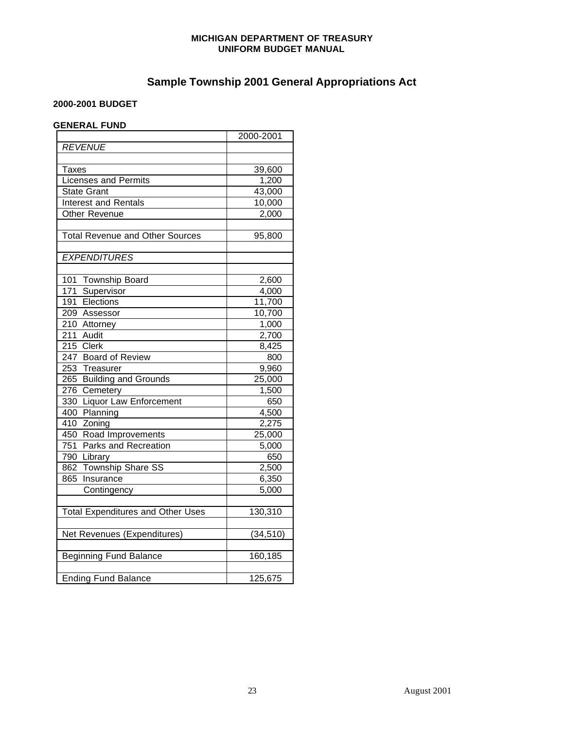## **Sample Township 2001 General Appropriations Act**

### **2000-2001 BUDGET**

## **GENERAL FUND**

|                                          | 2000-2001           |
|------------------------------------------|---------------------|
| <b>REVENUE</b>                           |                     |
|                                          |                     |
| Taxes                                    | 39,600              |
| <b>Licenses and Permits</b>              | $\overline{1,200}$  |
| <b>State Grant</b>                       | 43,000              |
| <b>Interest and Rentals</b>              | 10,000              |
| Other Revenue                            | 2,000               |
|                                          |                     |
| <b>Total Revenue and Other Sources</b>   | 95,800              |
| <b>EXPENDITURES</b>                      |                     |
|                                          |                     |
| 101 Township Board                       | 2,600               |
| 171<br>Supervisor                        | 4,000               |
| 191<br>Elections                         | 11,700              |
| 209 Assessor                             | $\overline{10,}700$ |
| 210 Attorney                             | 1,000               |
| $211$ Audit                              | 2,700               |
| 215 Clerk                                | 8,425               |
| 247 Board of Review                      | 800                 |
| 253 Treasurer                            | 9,960               |
| 265 Building and Grounds                 | 25,000              |
| 276<br>Cemetery                          | 1,500               |
| <b>Liquor Law Enforcement</b><br>330     | 650                 |
| 400 Planning                             | 4,500               |
| 410<br>Zoning                            | 2,275               |
| 450 Road Improvements                    | 25,000              |
| 751 Parks and Recreation                 | 5,000               |
| 790 Library                              | 650                 |
| 862 Township Share SS                    | 2,500               |
| Insurance<br>865                         | 6,350               |
| Contingency                              | 5,000               |
|                                          |                     |
| <b>Total Expenditures and Other Uses</b> | 130,310             |
|                                          |                     |
| Net Revenues (Expenditures)              | (34, 510)           |
| <b>Beginning Fund Balance</b>            | 160,185             |
|                                          |                     |
| <b>Ending Fund Balance</b>               | 125,675             |
|                                          |                     |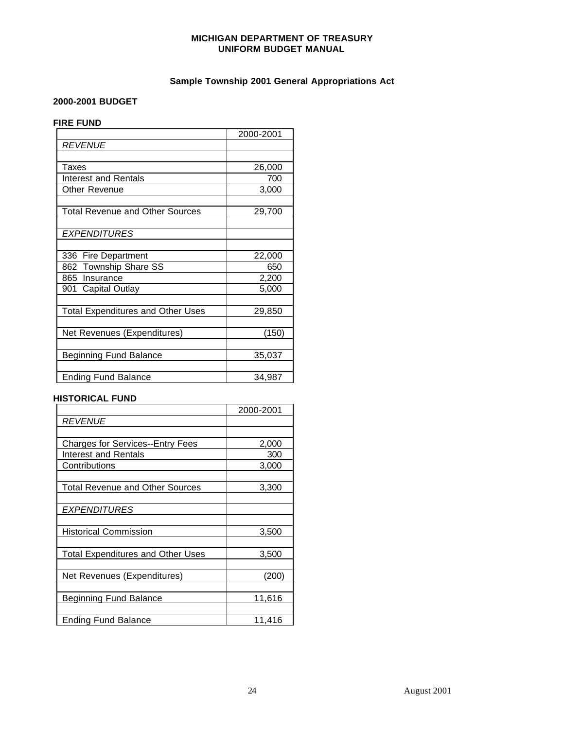## **Sample Township 2001 General Appropriations Act**

#### **2000-2001 BUDGET**

## **FIRE FUND**

|                                          | 2000-2001 |
|------------------------------------------|-----------|
| <b>REVENUE</b>                           |           |
|                                          |           |
| Taxes                                    | 26,000    |
| Interest and Rentals                     | 700       |
| Other Revenue                            | 3,000     |
|                                          |           |
| <b>Total Revenue and Other Sources</b>   | 29,700    |
|                                          |           |
| <b>EXPENDITURES</b>                      |           |
|                                          |           |
| 336 Fire Department                      | 22,000    |
| 862 Township Share SS                    | 650       |
| 865 Insurance                            | 2,200     |
| 901 Capital Outlay                       | 5,000     |
|                                          |           |
| <b>Total Expenditures and Other Uses</b> | 29,850    |
|                                          |           |
| Net Revenues (Expenditures)              | (150)     |
|                                          |           |
| <b>Beginning Fund Balance</b>            | 35,037    |
|                                          |           |
| <b>Ending Fund Balance</b>               | 34,987    |

## **HISTORICAL FUND**

|                                         | 2000-2001 |
|-----------------------------------------|-----------|
| <b>REVENUE</b>                          |           |
|                                         |           |
| <b>Charges for Services--Entry Fees</b> | 2,000     |
| Interest and Rentals                    | 300       |
| Contributions                           | 3,000     |
|                                         |           |
| Total Revenue and Other Sources         | 3,300     |
|                                         |           |
| <b>EXPENDITURES</b>                     |           |
|                                         |           |
| <b>Historical Commission</b>            | 3,500     |
|                                         |           |
| Total Expenditures and Other Uses       | 3,500     |
|                                         |           |
| Net Revenues (Expenditures)             | (200)     |
|                                         |           |
| Beginning Fund Balance                  | 11,616    |
|                                         |           |
| Ending Fund Balance                     | 11,416    |